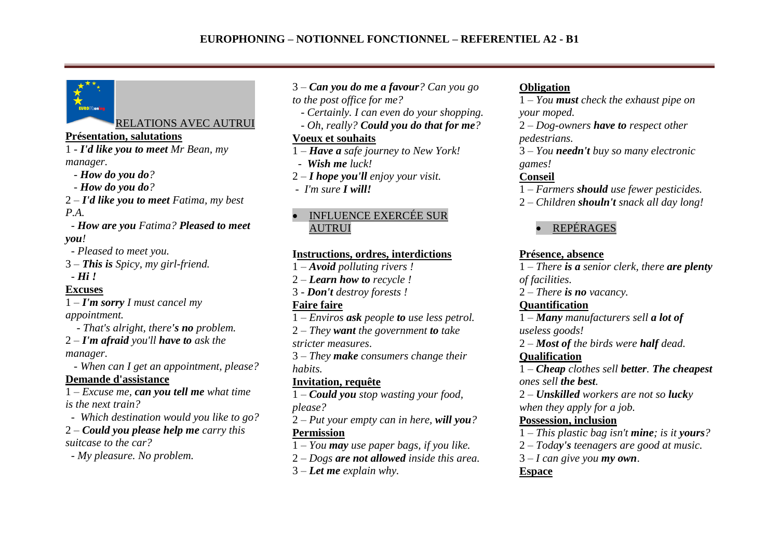### RELATIONS AVEC AUTRUI

### **Présentation, salutations**

1 - *I'd like you to meet Mr Bean, my manager.*

- *- How do you do?*
- *- How do you do?*
- 2 *– I'd like you to meet Fatima, my best P.A.*

 *- How are you Fatima? Pleased to meet you!*

 *- Pleased to meet you.*

3 *– This is Spicy, my girl-friend. - Hi !*

# **Excuses**

1 – *I'm sorry I must cancel my appointment.*

 *- That's alright, there's no problem.*

2 – *I'm afraid you'll have to ask the* 

*manager.*

 *- When can I get an appointment, please?* 

### **Demande d'assistance**

1 – *Excuse me, can you tell me what time is the next train?*

- *Which destination would you like to go?*
- 2 *Could you please help me carry this suitcase to the car?*

 *- My pleasure. No problem.* 

3 – *Can you do me a favour? Can you go* 

*to the post office for me?*

- *Certainly. I can even do your shopping.*
- *Oh, really? Could you do that for me?*

# **Voeux et souhaits**

- 1 *Have a safe journey to New York!*
- *Wish me luck!*
- 2 *I hope you'll enjoy your visit.*
- *I'm sure I will!*

### INFLUENCE EXERCÉE SUR AUTRUI

# **Instructions, ordres, interdictions**

- 1 *Avoid polluting rivers !*
- 2 *Learn how to recycle !*
- 3 *Don't destroy forests !*

# **Faire faire**

- 1 *Enviros ask people to use less petrol.*
- 2 *They want the government to take stricter measures*.
- 3 *They make consumers change their habits.*

# **Invitation, requête**

1 – *Could you stop wasting your food, please?*

- 2 *Put your empty can in here, will you?* **Permission**
- 1 *You may use paper bags, if you like.*
- 2 *Dogs are not allowed inside this area.*
- 3 *Let me explain why.*

# **Obligation**

1 – *You must check the exhaust pipe on your moped.*

2 – *Dog-owners have to respect other pedestrians.*

3 – *You needn't buy so many electronic games!*

# **Conseil**

- 1 *Farmers should use fewer pesticides.*
- 2 *Children shouln't snack all day long!*

# REPÉRAGES

# **Présence, absence**

1 – *There is a senior clerk, there are plenty of facilities.* 

2 – *There is no vacancy.*

# **Quantification**

1 – *Many manufacturers sell a lot of useless goods!*

2 – *Most of the birds were half dead.* 

### **Qualification**

1 – *Cheap clothes sell better. The cheapest ones sell the best.* 

2 – *Unskilled workers are not so lucky when they apply for a job.* 

# **Possession, inclusion**

- 1 *This plastic bag isn't mine; is it yours?*
- 2 *Today's teenagers are good at music.*
- 3 *I can give you my own*.

# **Espace**